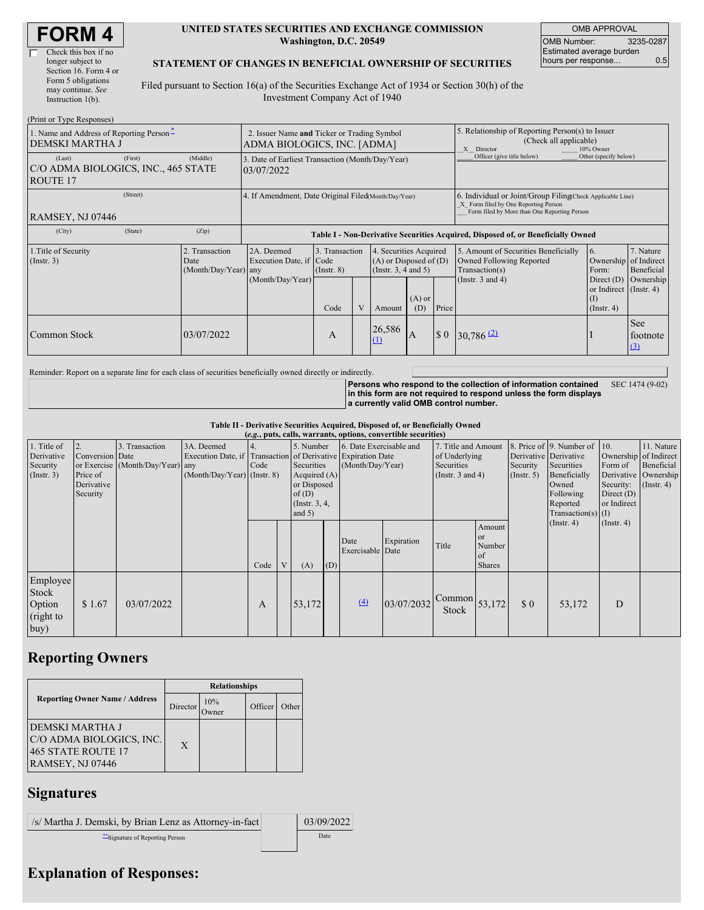| Check this box if no  |
|-----------------------|
| longer subject to     |
| Section 16. Form 4 or |
| Form 5 obligations    |
| may continue. See     |
| Instruction 1(b).     |
|                       |

#### **UNITED STATES SECURITIES AND EXCHANGE COMMISSION Washington, D.C. 20549**

OMB APPROVAL OMB Number: 3235-0287 Estimated average burden hours per response... 0.5

#### **STATEMENT OF CHANGES IN BENEFICIAL OWNERSHIP OF SECURITIES**

Filed pursuant to Section 16(a) of the Securities Exchange Act of 1934 or Section 30(h) of the Investment Company Act of 1940

| (Print or Type Responses)                                                          |                                                                            |                                                                                  |                                   |  |                                                                              |                                                                                                       |                                                                                                                                                    |                                                                                    |                                                                   |                         |  |
|------------------------------------------------------------------------------------|----------------------------------------------------------------------------|----------------------------------------------------------------------------------|-----------------------------------|--|------------------------------------------------------------------------------|-------------------------------------------------------------------------------------------------------|----------------------------------------------------------------------------------------------------------------------------------------------------|------------------------------------------------------------------------------------|-------------------------------------------------------------------|-------------------------|--|
| 1. Name and Address of Reporting Person-<br>DEMSKI MARTHA J                        | 2. Issuer Name and Ticker or Trading Symbol<br>ADMA BIOLOGICS, INC. [ADMA] |                                                                                  |                                   |  |                                                                              | 5. Relationship of Reporting Person(s) to Issuer<br>(Check all applicable)<br>X Director<br>10% Owner |                                                                                                                                                    |                                                                                    |                                                                   |                         |  |
| (First)<br>(Last)<br>C/O ADMA BIOLOGICS, INC., 465 STATE<br>ROUTE 17               | (Middle)                                                                   | 3. Date of Earliest Transaction (Month/Day/Year)<br>03/07/2022                   |                                   |  |                                                                              |                                                                                                       | Officer (give title below)                                                                                                                         | Other (specify below)                                                              |                                                                   |                         |  |
| (Street)<br>RAMSEY, NJ 07446                                                       |                                                                            | 4. If Amendment, Date Original Filed(Month/Day/Year)                             |                                   |  |                                                                              |                                                                                                       | 6. Individual or Joint/Group Filing Check Applicable Line)<br>X Form filed by One Reporting Person<br>Form filed by More than One Reporting Person |                                                                                    |                                                                   |                         |  |
| (State)<br>(City)                                                                  | (Zip)                                                                      | Table I - Non-Derivative Securities Acquired, Disposed of, or Beneficially Owned |                                   |  |                                                                              |                                                                                                       |                                                                                                                                                    |                                                                                    |                                                                   |                         |  |
| 1. Title of Security<br>Transaction<br>(Insert. 3)<br>Date<br>(Month/Day/Year) any |                                                                            | 2A. Deemed<br>Execution Date, if Code                                            | 3. Transaction<br>$($ Instr. $8)$ |  | 4. Securities Acquired<br>$(A)$ or Disposed of $(D)$<br>(Insert. 3, 4 and 5) |                                                                                                       |                                                                                                                                                    | 5. Amount of Securities Beneficially<br>Owned Following Reported<br>Transaction(s) | 6.<br>Ownership of Indirect<br>Form:                              | 7. Nature<br>Beneficial |  |
|                                                                                    |                                                                            | (Month/Day/Year)                                                                 | Code                              |  | Amount                                                                       | $(A)$ or<br>(D)                                                                                       | Price                                                                                                                                              | (Instr. $3$ and $4$ )                                                              | Direct $(D)$<br>or Indirect (Instr. 4)<br>(1)<br>$($ Instr. 4 $)$ | Ownership               |  |
| Common Stock                                                                       | 03/07/2022                                                                 |                                                                                  | A                                 |  | 26,586<br>$\Omega$                                                           | I A                                                                                                   | $\boldsymbol{\mathsf{S}}$ 0                                                                                                                        | $30,786$ <sup>(2)</sup>                                                            |                                                                   | See<br>footnote<br>(3)  |  |

Reminder: Report on a separate line for each class of securities beneficially owned directly or indirectly.

**Persons who respond to the collection of information contained in this form are not required to respond unless the form displays a currently valid OMB control number.** SEC 1474 (9-02)

**Table II - Derivative Securities Acquired, Disposed of, or Beneficially Owned**

| (e.g., puts, calls, warrants, options, convertible securities) |                                                       |                                                    |                                           |      |   |                                                                                                                                                                                                                 |     |                          |                                                                             |                                                          |                                                      |                                                                                                                  |                                                                                                             |                                           |  |
|----------------------------------------------------------------|-------------------------------------------------------|----------------------------------------------------|-------------------------------------------|------|---|-----------------------------------------------------------------------------------------------------------------------------------------------------------------------------------------------------------------|-----|--------------------------|-----------------------------------------------------------------------------|----------------------------------------------------------|------------------------------------------------------|------------------------------------------------------------------------------------------------------------------|-------------------------------------------------------------------------------------------------------------|-------------------------------------------|--|
| 1. Title of<br>Derivative<br>Security<br>$($ Instr. 3 $)$      | Conversion Date<br>Price of<br>Derivative<br>Security | 3. Transaction<br>or Exercise (Month/Day/Year) any | 3A. Deemed<br>(Month/Day/Year) (Instr. 8) | Code |   | 6. Date Exercisable and<br>5. Number<br>Execution Date, if Transaction of Derivative Expiration Date<br>(Month/Day/Year)<br>Securities<br>Acquired $(A)$<br>or Disposed<br>of(D)<br>(Instr. $3, 4,$<br>and $5)$ |     |                          | 7. Title and Amount<br>of Underlying<br>Securities<br>(Instr. $3$ and $4$ ) |                                                          | Derivative Derivative<br>Security<br>(Insert. 5)     | 8. Price of 9. Number of<br>Securities<br>Beneficially<br>Owned<br>Following<br>Reported<br>$Transaction(s)$ (I) | 10.<br>Ownership of Indirect<br>Form of<br>Derivative Ownership<br>Security:<br>Direct $(D)$<br>or Indirect | 11. Nature<br>Beneficial<br>$($ Instr. 4) |  |
|                                                                |                                                       |                                                    |                                           | Code | V | (A)                                                                                                                                                                                                             | (D) | Date<br>Exercisable Date | Expiration                                                                  | Title                                                    | Amount<br><b>or</b><br>Number<br>of<br><b>Shares</b> | $($ Instr. 4 $)$                                                                                                 |                                                                                                             | $($ Instr. 4 $)$                          |  |
| Employee<br>Stock<br>Option<br>(right to<br>buy)               | \$1.67                                                | 03/07/2022                                         |                                           | A    |   | 53.172                                                                                                                                                                                                          |     | (4)                      | 03/07/2032                                                                  | $\sim$ Common $\left  \frac{53,172}{2} \right $<br>Stock |                                                      | $\Omega$                                                                                                         | 53,172                                                                                                      | D                                         |  |

### **Reporting Owners**

|                                                                                                     | <b>Relationships</b> |              |         |       |  |  |  |
|-----------------------------------------------------------------------------------------------------|----------------------|--------------|---------|-------|--|--|--|
| <b>Reporting Owner Name / Address</b>                                                               | Director             | 10%<br>)wner | Officer | Other |  |  |  |
| <b>DEMSKI MARTHA J</b><br>C/O ADMA BIOLOGICS, INC.<br>465 STATE ROUTE 17<br><b>RAMSEY, NJ 07446</b> | X                    |              |         |       |  |  |  |

# **Signatures**

| /s/ Martha J. Demski, by Brian Lenz as Attorney-in-fact | 03/09/2022 |
|---------------------------------------------------------|------------|
| <i>i</i> Signature of Reporting Person                  | Date       |

## **Explanation of Responses:**